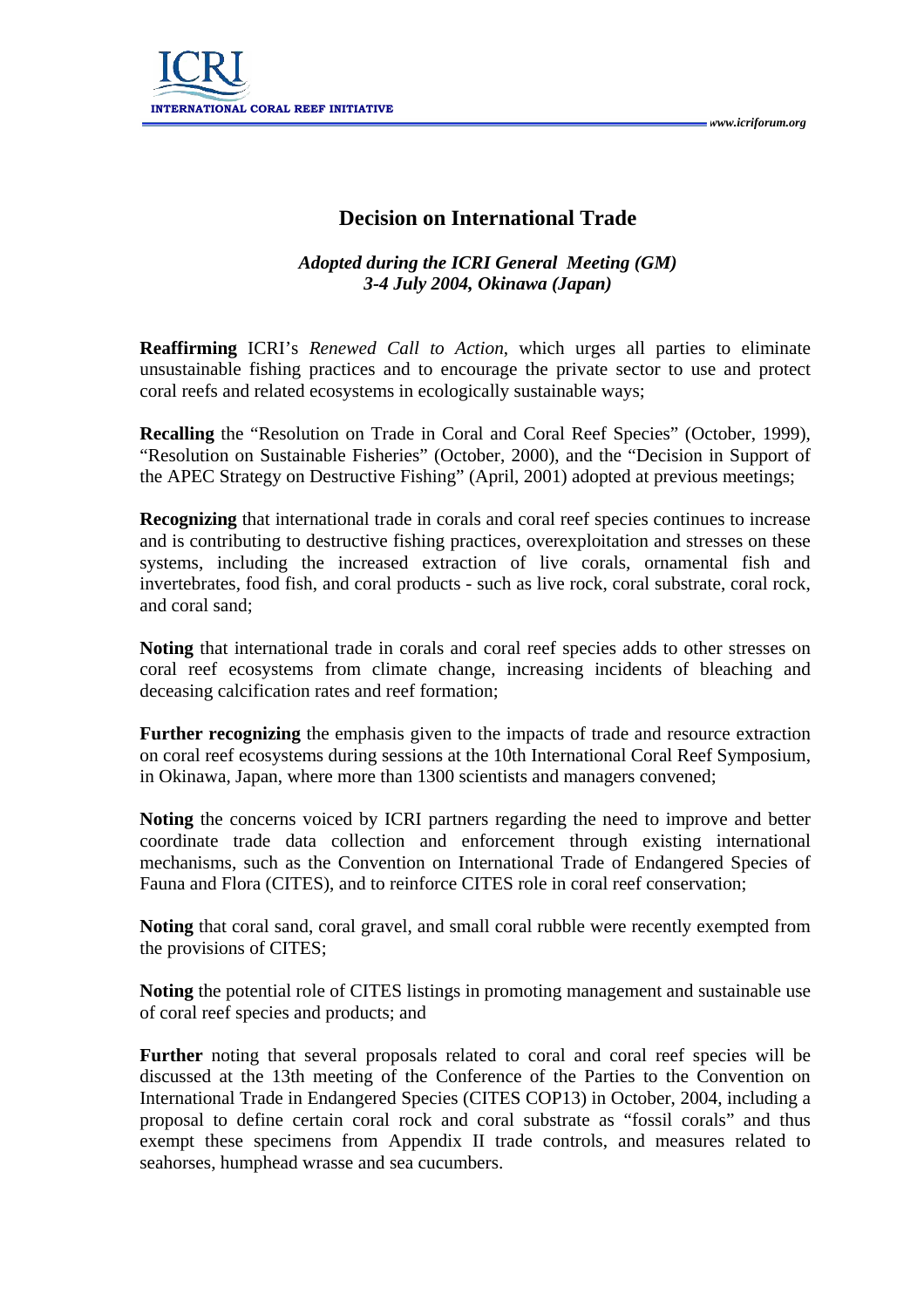

## **Decision on International Trade**

## *Adopted during the ICRI General Meeting (GM) 3-4 July 2004, Okinawa (Japan)*

**Reaffirming** ICRI's *Renewed Call to Action*, which urges all parties to eliminate unsustainable fishing practices and to encourage the private sector to use and protect coral reefs and related ecosystems in ecologically sustainable ways;

**Recalling** the "Resolution on Trade in Coral and Coral Reef Species" (October, 1999), "Resolution on Sustainable Fisheries" (October, 2000), and the "Decision in Support of the APEC Strategy on Destructive Fishing" (April, 2001) adopted at previous meetings;

**Recognizing** that international trade in corals and coral reef species continues to increase and is contributing to destructive fishing practices, overexploitation and stresses on these systems, including the increased extraction of live corals, ornamental fish and invertebrates, food fish, and coral products - such as live rock, coral substrate, coral rock, and coral sand;

**Noting** that international trade in corals and coral reef species adds to other stresses on coral reef ecosystems from climate change, increasing incidents of bleaching and deceasing calcification rates and reef formation;

**Further recognizing** the emphasis given to the impacts of trade and resource extraction on coral reef ecosystems during sessions at the 10th International Coral Reef Symposium, in Okinawa, Japan, where more than 1300 scientists and managers convened;

**Noting** the concerns voiced by ICRI partners regarding the need to improve and better coordinate trade data collection and enforcement through existing international mechanisms, such as the Convention on International Trade of Endangered Species of Fauna and Flora (CITES), and to reinforce CITES role in coral reef conservation;

**Noting** that coral sand, coral gravel, and small coral rubble were recently exempted from the provisions of CITES;

**Noting** the potential role of CITES listings in promoting management and sustainable use of coral reef species and products; and

**Further** noting that several proposals related to coral and coral reef species will be discussed at the 13th meeting of the Conference of the Parties to the Convention on International Trade in Endangered Species (CITES COP13) in October, 2004, including a proposal to define certain coral rock and coral substrate as "fossil corals" and thus exempt these specimens from Appendix II trade controls, and measures related to seahorses, humphead wrasse and sea cucumbers.